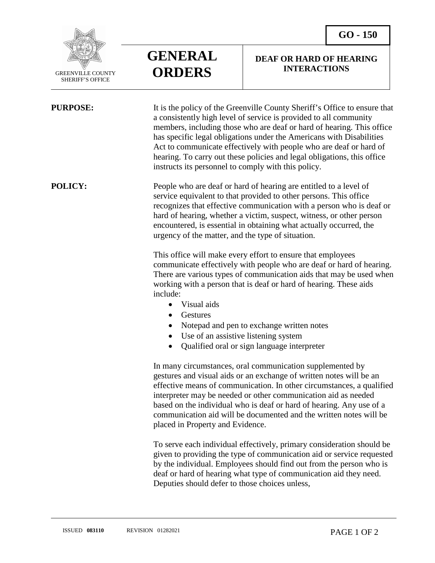

SHERIFF'S OFFICE

## **GENERAL ORDERS**

## **DEAF OR HARD OF HEARING INTERACTIONS**

**PURPOSE:** It is the policy of the Greenville County Sheriff's Office to ensure that a consistently high level of service is provided to all community members, including those who are deaf or hard of hearing. This office has specific legal obligations under the Americans with Disabilities Act to communicate effectively with people who are deaf or hard of hearing. To carry out these policies and legal obligations, this office instructs its personnel to comply with this policy. **POLICY:** People who are deaf or hard of hearing are entitled to a level of service equivalent to that provided to other persons. This office recognizes that effective communication with a person who is deaf or hard of hearing, whether a victim, suspect, witness, or other person encountered, is essential in obtaining what actually occurred, the urgency of the matter, and the type of situation.

This office will make every effort to ensure that employees communicate effectively with people who are deaf or hard of hearing. There are various types of communication aids that may be used when working with a person that is deaf or hard of hearing. These aids include:

- Visual aids
- Gestures
- Notepad and pen to exchange written notes
- Use of an assistive listening system
- Qualified oral or sign language interpreter

In many circumstances, oral communication supplemented by gestures and visual aids or an exchange of written notes will be an effective means of communication. In other circumstances, a qualified interpreter may be needed or other communication aid as needed based on the individual who is deaf or hard of hearing. Any use of a communication aid will be documented and the written notes will be placed in Property and Evidence.

To serve each individual effectively, primary consideration should be given to providing the type of communication aid or service requested by the individual. Employees should find out from the person who is deaf or hard of hearing what type of communication aid they need. Deputies should defer to those choices unless,